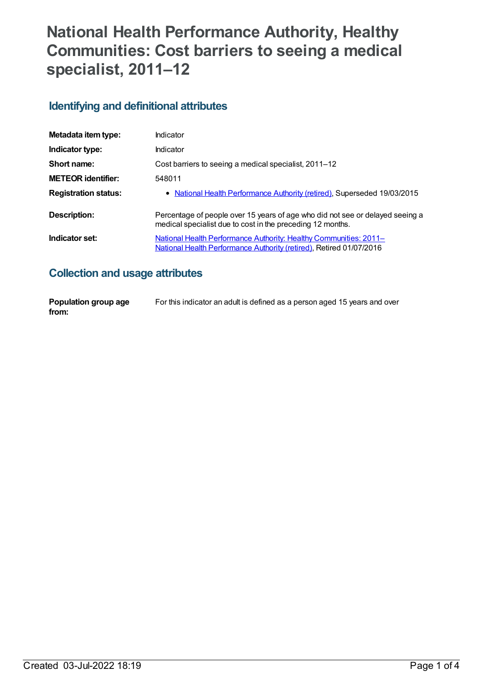# **National Health Performance Authority, Healthy Communities: Cost barriers to seeing a medical specialist, 2011–12**

#### **Identifying and definitional attributes**

| Metadata item type:         | Indicator                                                                                                                                       |
|-----------------------------|-------------------------------------------------------------------------------------------------------------------------------------------------|
| Indicator type:             | Indicator                                                                                                                                       |
| Short name:                 | Cost barriers to seeing a medical specialist, 2011-12                                                                                           |
| <b>METEOR identifier:</b>   | 548011                                                                                                                                          |
| <b>Registration status:</b> | • National Health Performance Authority (retired), Superseded 19/03/2015                                                                        |
| Description:                | Percentage of people over 15 years of age who did not see or delayed seeing a<br>medical specialist due to cost in the preceding 12 months.     |
| Indicator set:              | <u>National Health Performance Authority: Healthy Communities: 2011–</u><br>National Health Performance Authority (retired), Retired 01/07/2016 |

### **Collection and usage attributes**

| Population group age | For this indicator an adult is defined as a person aged 15 years and over |
|----------------------|---------------------------------------------------------------------------|
| from:                |                                                                           |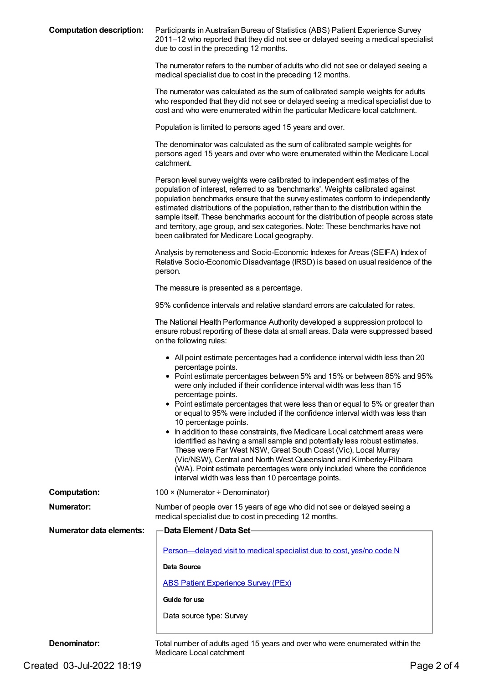**Computation description:** Participants in Australian Bureau of Statistics (ABS) Patient Experience Survey 2011–12 who reported that they did not see or delayed seeing a medical specialist due to cost in the preceding 12 months. The numerator refers to the number of adults who did not see or delayed seeing a medical specialist due to cost in the preceding 12 months. The numerator was calculated as the sum of calibrated sample weights for adults who responded that they did not see or delayed seeing a medical specialist due to cost and who were enumerated within the particular Medicare local catchment. Population is limited to persons aged 15 years and over. The denominator was calculated as the sum of calibrated sample weights for persons aged 15 years and over who were enumerated within the Medicare Local catchment. Person level survey weights were calibrated to independent estimates of the population of interest, referred to as 'benchmarks'. Weights calibrated against population benchmarks ensure that the survey estimates conform to independently estimated distributions of the population, rather than to the distribution within the sample itself. These benchmarks account for the distribution of people across state and territory, age group, and sex categories. Note: These benchmarks have not been calibrated for Medicare Local geography. Analysis by remoteness and Socio-Economic Indexes for Areas (SEIFA) Index of Relative Socio-Economic Disadvantage (IRSD) is based on usual residence of the person. The measure is presented as a percentage. 95% confidence intervals and relative standard errors are calculated for rates. The National Health Performance Authority developed a suppression protocol to ensure robust reporting of these data at small areas. Data were suppressed based on the following rules: All point estimate percentages had a confidence interval width less than 20 percentage points. • Point estimate percentages between 5% and 15% or between 85% and 95% were only included if their confidence interval width was less than 15 percentage points. • Point estimate percentages that were less than or equal to 5% or greater than or equal to 95% were included if the confidence interval width was less than 10 percentage points. • In addition to these constraints, five Medicare Local catchment areas were identified as having a small sample and potentially less robust estimates. These were Far West NSW, Great South Coast (Vic), Local Murray (Vic/NSW), Central and North West Queensland and Kimberley-Pilbara (WA). Point estimate percentages were only included where the confidence interval width was less than 10 percentage points. **Computation:** 100 × (Numerator ÷ Denominator) **Numerator:** Number of people over 15 years of age who did not see or delayed seeing a medical specialist due to cost in preceding 12 months. **Numerator data elements: Data Element / Data Set** [Person—delayed](https://meteor.aihw.gov.au/content/573673) visit to medical specialist due to cost, yes/no code N **Data Source** ABS Patient [Experience](https://meteor.aihw.gov.au/content/394410) Survey (PEx) **Guide for use** Data source type: Survey

**Denominator:** Total number of adults aged 15 years and over who were enumerated within the Medicare Local catchment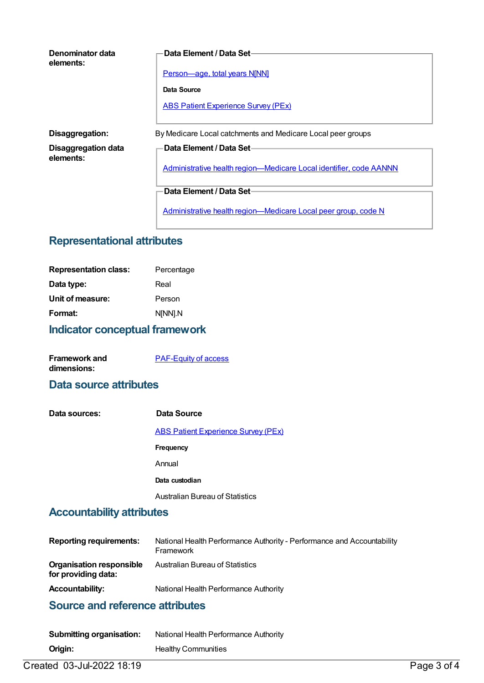| Denominator data<br>elements:    | Data Element / Data Set-                                           |  |
|----------------------------------|--------------------------------------------------------------------|--|
|                                  | <b>Person-age, total years N[NN]</b>                               |  |
|                                  | Data Source                                                        |  |
|                                  | <b>ABS Patient Experience Survey (PEx)</b>                         |  |
| Disaggregation:                  | By Medicare Local catchments and Medicare Local peer groups        |  |
| Disaggregation data<br>elements: | Data Element / Data Set-                                           |  |
|                                  | Administrative health region-Medicare Local identifier, code AANNN |  |
|                                  | Data Element / Data Set-                                           |  |
|                                  | Administrative health region-Medicare Local peer group, code N     |  |

#### **Representational attributes**

| Percentage |
|------------|
| Real       |
| Person     |
| N[NN].N    |
|            |

# **Indicator conceptual framework**

| <b>Framework and</b> | <b>PAF-Equity of access</b> |
|----------------------|-----------------------------|
| dimensions:          |                             |

#### **Data source attributes**

| Data sources: | Data Source                                |
|---------------|--------------------------------------------|
|               | <b>ABS Patient Experience Survey (PEx)</b> |
|               | <b>Frequency</b>                           |
|               | Annual                                     |
|               | Data custodian                             |
|               | Australian Bureau of Statistics            |

# **Accountability attributes**

| <b>Reporting requirements:</b>                         | National Health Performance Authority - Performance and Accountability<br>Framework |
|--------------------------------------------------------|-------------------------------------------------------------------------------------|
| <b>Organisation responsible</b><br>for providing data: | Australian Bureau of Statistics                                                     |
| <b>Accountability:</b>                                 | National Health Performance Authority                                               |

#### **Source and reference attributes**

| Submitting organisation: | National Health Performance Authority |
|--------------------------|---------------------------------------|
| Origin:                  | <b>Healthy Communities</b>            |